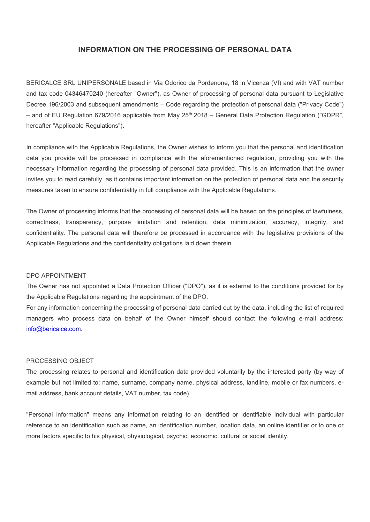# INFORMATION ON THE PROCESSING OF PERSONAL DATA

BERICALCE SRL UNIPERSONALE based in Via Odorico da Pordenone, 18 in Vicenza (VI) and with VAT number and tax code 04346470240 (hereafter "Owner"), as Owner of processing of personal data pursuant to Legislative Decree 196/2003 and subsequent amendments – Code regarding the protection of personal data ("Privacy Code")  $-$  and of EU Regulation 679/2016 applicable from May 25<sup>th</sup> 2018 – General Data Protection Regulation ("GDPR", hereafter "Applicable Regulations").

In compliance with the Applicable Regulations, the Owner wishes to inform you that the personal and identification data you provide will be processed in compliance with the aforementioned regulation, providing you with the necessary information regarding the processing of personal data provided. This is an information that the owner invites you to read carefully, as it contains important information on the protection of personal data and the security measures taken to ensure confidentiality in full compliance with the Applicable Regulations.

The Owner of processing informs that the processing of personal data will be based on the principles of lawfulness, correctness, transparency, purpose limitation and retention, data minimization, accuracy, integrity, and confidentiality. The personal data will therefore be processed in accordance with the legislative provisions of the Applicable Regulations and the confidentiality obligations laid down therein.

#### DPO APPOINTMENT

The Owner has not appointed a Data Protection Officer ("DPO"), as it is external to the conditions provided for by the Applicable Regulations regarding the appointment of the DPO.

For any information concerning the processing of personal data carried out by the data, including the list of required managers who process data on behalf of the Owner himself should contact the following e-mail address: info@bericalce.com.

#### PROCESSING OBJECT

The processing relates to personal and identification data provided voluntarily by the interested party (by way of example but not limited to: name, surname, company name, physical address, landline, mobile or fax numbers, email address, bank account details, VAT number, tax code).

"Personal information" means any information relating to an identified or identifiable individual with particular reference to an identification such as name, an identification number, location data, an online identifier or to one or more factors specific to his physical, physiological, psychic, economic, cultural or social identity.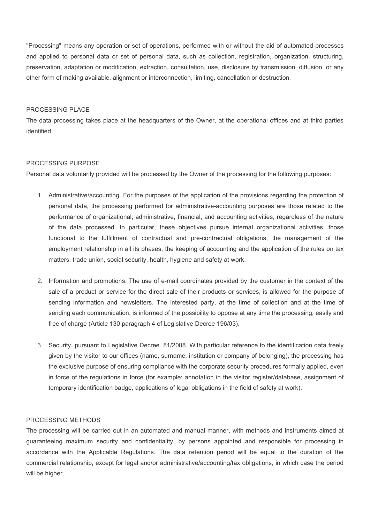"Processing" means any operation or set of operations, performed with or without the aid of automated processes and applied to personal data or set of personal data, such as collection, registration, organization, structuring, preservation, adaptation or modification, extraction, consultation, use, disclosure by transmission, diffusion, or any other form of making available, alignment or interconnection, limiting, cancellation or destruction.

### PROCESSING PLACE

The data processing takes place at the headquarters of the Owner, at the operational offices and at third parties identified.

#### PROCESSING PURPOSE

Personal data voluntarily provided will be processed by the Owner of the processing for the following purposes:

- 1. Administrative/accounting. For the purposes of the application of the provisions regarding the protection of personal data, the processing performed for administrative-accounting purposes are those related to the performance of organizational, administrative, financial, and accounting activities, regardless of the nature of the data processed. In particular, these objectives pursue internal organizational activities, those functional to the fulfillment of contractual and pre-contractual obligations, the management of the employment relationship in all its phases, the keeping of accounting and the application of the rules on tax matters, trade union, social security, health, hygiene and safety at work.
- 2. Information and promotions. The use of e-mail coordinates provided by the customer in the context of the sale of a product or service for the direct sale of their products or services, is allowed for the purpose of sending information and newsletters. The interested party, at the time of collection and at the time of sending each communication, is informed of the possibility to oppose at any time the processing, easily and free of charge (Article 130 paragraph 4 of Legislative Decree 196/03).
- 3. Security, pursuant to Legislative Decree. 81/2008. With particular reference to the identification data freely given by the visitor to our offices (name, surname, institution or company of belonging), the processing has the exclusive purpose of ensuring compliance with the corporate security procedures formally applied, even in force of the regulations in force (for example: annotation in the visitor register/database, assignment of temporary identification badge, applications of legal obligations in the field of safety at work).

#### PROCESSING METHODS

The processing will be carried out in an automated and manual manner, with methods and instruments aimed at guaranteeing maximum security and confidentiality, by persons appointed and responsible for processing in accordance with the Applicable Regulations. The data retention period will be equal to the duration of the commercial relationship, except for legal and/or administrative/accounting/tax obligations, in which case the period will be higher.